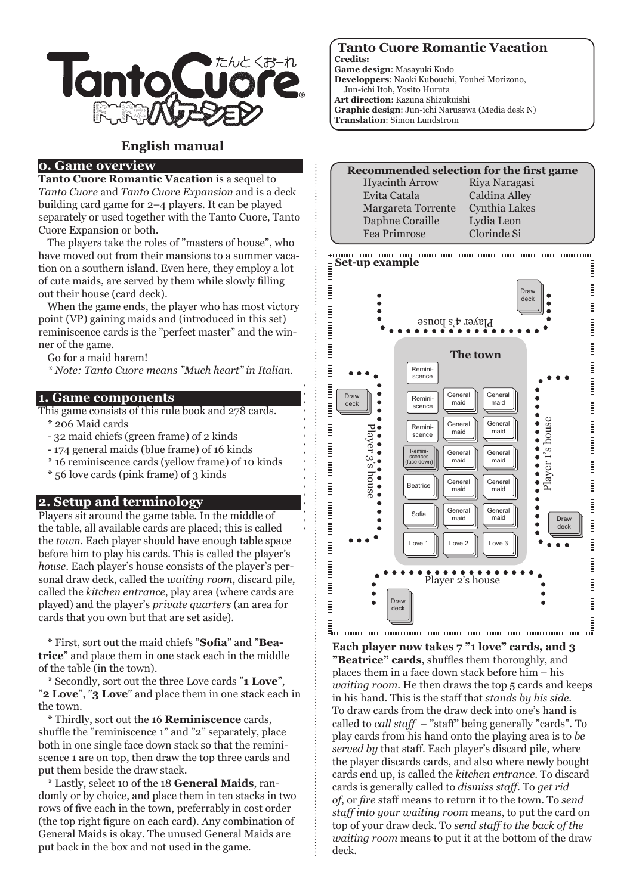

# **English manual**

# **0. Game overview**

**Tanto Cuore Romantic Vacation** is a sequel to *Tanto Cuore* and *Tanto Cuore Expansion* and is a deck building card game for 2–4 players. It can be played separately or used together with the Tanto Cuore, Tanto Cuore Expansion or both.

The players take the roles of "masters of house", who have moved out from their mansions to a summer vacation on a southern island. Even here, they employ a lot of cute maids, are served by them while slowly filling out their house (card deck).

When the game ends, the player who has most victory point (VP) gaining maids and (introduced in this set) reminiscence cards is the "perfect master" and the winner of the game.

Go for a maid harem!

*\* Note: Tanto Cuore means "Much heart" in Italian.*

### **1. Game components**

This game consists of this rule book and 278 cards.

- \* 206 Maid cards
- 32 maid chiefs (green frame) of 2 kinds
- 174 general maids (blue frame) of 16 kinds
- \* 16 reminiscence cards (yellow frame) of 10 kinds
- \* 56 love cards (pink frame) of 3 kinds

### **2. Setup and terminology**

Players sit around the game table. In the middle of the table, all available cards are placed; this is called the *town*. Each player should have enough table space before him to play his cards. This is called the player's *house*. Each player's house consists of the player's personal draw deck, called the *waiting room*, discard pile, called the *kitchen entrance*, play area (where cards are played) and the player's *private quarters* (an area for cards that you own but that are set aside).

\* First, sort out the maid chiefs "**Sofia**" and "**Beatrice**" and place them in one stack each in the middle of the table (in the town).

\* Secondly, sort out the three Love cards "**1 Love**", "**2 Love**", "**3 Love**" and place them in one stack each in the town.

\* Thirdly, sort out the 16 **Reminiscence** cards, shuffle the "reminiscence 1" and "2" separately, place both in one single face down stack so that the reminiscence 1 are on top, then draw the top three cards and put them beside the draw stack.

\* Lastly, select 10 of the 18 **General Maids**, randomly or by choice, and place them in ten stacks in two rows of five each in the town, preferrably in cost order (the top right figure on each card). Any combination of General Maids is okay. The unused General Maids are put back in the box and not used in the game.

#### **Tanto Cuore Romantic Vacation Credits:**

**Game design**: Masayuki Kudo

- **Developpers**: Naoki Kubouchi, Youhei Morizono,
- Jun-ichi Itoh, Yosito Huruta
- **Art direction**: Kazuna Shizukuishi
- **Graphic design**: Jun-ichi Narusawa (Media desk N)
- **Translation**: Simon Lundstrom

| Recommended selection for the first game |               |  |
|------------------------------------------|---------------|--|
| <b>Hyacinth Arrow</b>                    | Riya Naragasi |  |
| Evita Catala                             | Caldina Alley |  |
| Margareta Torrente                       | Cynthia Lakes |  |
| Daphne Coraille                          | Lydia Leon    |  |
| Fea Primrose                             | Clorinde Si   |  |



**Each player now takes 7 "1 love" cards, and 3 "Beatrice" cards**, shuffles them thoroughly, and places them in a face down stack before him – his *waiting room*. He then draws the top 5 cards and keeps in his hand. This is the staff that *stands by his side*. To draw cards from the draw deck into one's hand is called to *call staff* – "staff" being generally "cards". To play cards from his hand onto the playing area is to *be served by* that staff. Each player's discard pile, where the player discards cards, and also where newly bought cards end up, is called the *kitchen entrance*. To discard cards is generally called to *dismiss staff*. To *get rid of*, or *fire* staff means to return it to the town. To *send staff into your waiting room* means, to put the card on top of your draw deck. To *send staff to the back of the waiting room* means to put it at the bottom of the draw deck.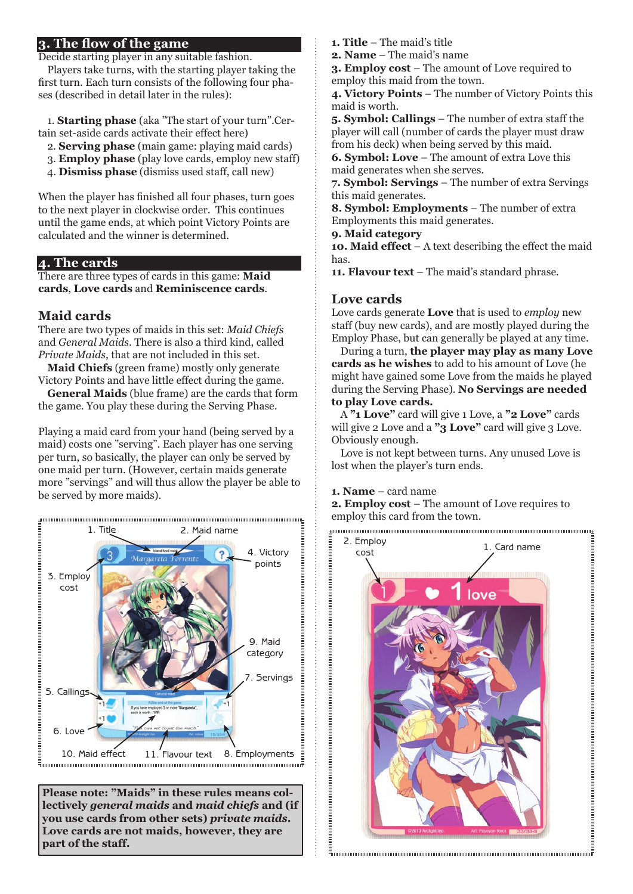# **3. The flow of the game**

Decide starting player in any suitable fashion.

Players take turns, with the starting player taking the first turn. Each turn consists of the following four phases (described in detail later in the rules):

1. **Starting phase** (aka "The start of your turn".Certain set-aside cards activate their effect here)

- 2. **Serving phase** (main game: playing maid cards)
- 3. **Employ phase** (play love cards, employ new staff)
- 4. **Dismiss phase** (dismiss used staff, call new)

When the player has finished all four phases, turn goes to the next player in clockwise order. This continues until the game ends, at which point Victory Points are calculated and the winner is determined.

## **4. The cards**

There are three types of cards in this game: **Maid cards**, **Love cards** and **Reminiscence cards**.

# **Maid cards**

There are two types of maids in this set: *Maid Chiefs* and *General Maids*. There is also a third kind, called *Private Maids*, that are not included in this set.

**Maid Chiefs** (green frame) mostly only generate Victory Points and have little effect during the game.

**General Maids** (blue frame) are the cards that form the game. You play these during the Serving Phase.

Playing a maid card from your hand (being served by a maid) costs one "serving". Each player has one serving per turn, so basically, the player can only be served by one maid per turn. (However, certain maids generate more "servings" and will thus allow the player be able to be served by more maids).



**Please note: "Maids" in these rules means collectively** *general maids* **and** *maid chiefs* **and (if you use cards from other sets)** *private maids***. Love cards are not maids, however, they are part of the staff.**

**1. Title** – The maid's title

**2. Name** – The maid's name

**3. Employ cost** – The amount of Love required to employ this maid from the town.

**4. Victory Points** – The number of Victory Points this maid is worth.

**5. Symbol: Callings** – The number of extra staff the player will call (number of cards the player must draw from his deck) when being served by this maid.

**6. Symbol: Love** – The amount of extra Love this maid generates when she serves.

**7. Symbol: Servings** – The number of extra Servings this maid generates.

**8. Symbol: Employments** – The number of extra Employments this maid generates.

**9. Maid category**

**10. Maid effect** – A text describing the effect the maid has.

**11. Flavour text** – The maid's standard phrase.

## **Love cards**

Love cards generate **Love** that is used to *employ* new staff (buy new cards), and are mostly played during the Employ Phase, but can generally be played at any time.

During a turn, **the player may play as many Love cards as he wishes** to add to his amount of Love (he might have gained some Love from the maids he played during the Serving Phase). **No Servings are needed to play Love cards.**

A **"1 Love"** card will give 1 Love, a **"2 Love"** cards will give 2 Love and a **"3 Love"** card will give 3 Love. Obviously enough.

Love is not kept between turns. Any unused Love is lost when the player's turn ends.

### **1. Name** – card name

**2. Employ cost** – The amount of Love requires to employ this card from the town.

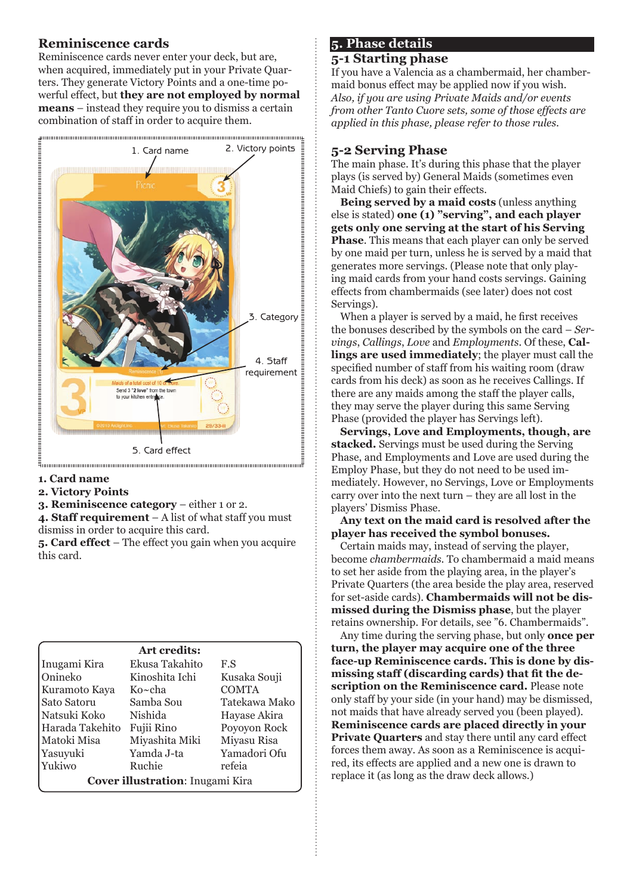# **Reminiscence cards**

Reminiscence cards never enter your deck, but are, when acquired, immediately put in your Private Quarters. They generate Victory Points and a one-time powerful effect, but **they are not employed by normal means** – instead they require you to dismiss a certain combination of staff in order to acquire them.



- **1. Card name**
- **2. Victory Points**
- **3. Reminiscence category** either 1 or 2.

**4. Staff requirement** – A list of what staff you must dismiss in order to acquire this card.

**5. Card effect** – The effect you gain when you acquire this card.

### **Art credits:**

| Inugami Kira                     | Ekusa Takahito | F.S           |
|----------------------------------|----------------|---------------|
| Onineko                          | Kinoshita Ichi | Kusaka Souji  |
| Kuramoto Kaya                    | Ko~cha         | <b>COMTA</b>  |
| Sato Satoru                      | Samba Sou      | Tatekawa Mako |
| Natsuki Koko                     | Nishida        | Hayase Akira  |
| Harada Takehito                  | Fujii Rino     | Poyoyon Rock  |
| Matoki Misa                      | Miyashita Miki | Miyasu Risa   |
| Yasuyuki                         | Yamda J-ta     | Yamadori Ofu  |
| Yukiwo                           | Ruchie         | refeia        |
| Cover illustration: Inugami Kira |                |               |

# **5. Phase details**

## **5-1 Starting phase**

If you have a Valencia as a chambermaid, her chambermaid bonus effect may be applied now if you wish. *Also, if you are using Private Maids and/or events from other Tanto Cuore sets, some of those effects are applied in this phase, please refer to those rules.*

# **5-2 Serving Phase**

The main phase. It's during this phase that the player plays (is served by) General Maids (sometimes even Maid Chiefs) to gain their effects.

**Being served by a maid costs** (unless anything else is stated) **one (1) "serving", and each player gets only one serving at the start of his Serving Phase**. This means that each player can only be served by one maid per turn, unless he is served by a maid that generates more servings. (Please note that only playing maid cards from your hand costs servings. Gaining effects from chambermaids (see later) does not cost Servings).

When a player is served by a maid, he first receives the bonuses described by the symbols on the card – *Servings*, *Callings*, *Love* and *Employments*. Of these, **Callings are used immediately**; the player must call the specified number of staff from his waiting room (draw cards from his deck) as soon as he receives Callings. If there are any maids among the staff the player calls, they may serve the player during this same Serving Phase (provided the player has Servings left).

**Servings, Love and Employments, though, are stacked.** Servings must be used during the Serving Phase, and Employments and Love are used during the Employ Phase, but they do not need to be used immediately. However, no Servings, Love or Employments carry over into the next turn – they are all lost in the players' Dismiss Phase.

**Any text on the maid card is resolved after the player has received the symbol bonuses.**

Certain maids may, instead of serving the player, become *chambermaids*. To chambermaid a maid means to set her aside from the playing area, in the player's Private Quarters (the area beside the play area, reserved for set-aside cards). **Chambermaids will not be dismissed during the Dismiss phase**, but the player retains ownership. For details, see "6. Chambermaids".

Any time during the serving phase, but only **once per turn, the player may acquire one of the three face-up Reminiscence cards. This is done by dismissing staff (discarding cards) that fit the description on the Reminiscence card.** Please note only staff by your side (in your hand) may be dismissed, not maids that have already served you (been played). **Reminiscence cards are placed directly in your Private Quarters** and stay there until any card effect forces them away. As soon as a Reminiscence is acquired, its effects are applied and a new one is drawn to replace it (as long as the draw deck allows.)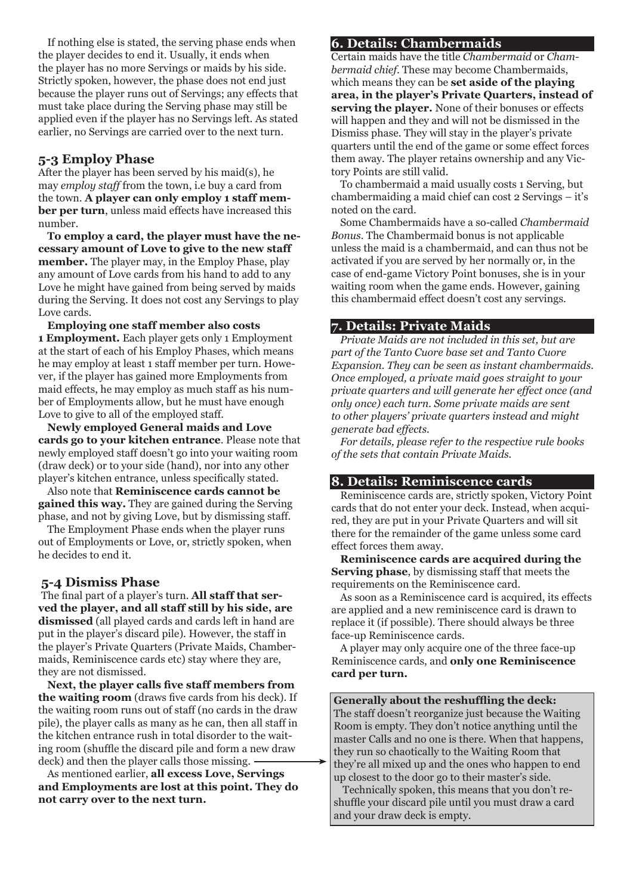If nothing else is stated, the serving phase ends when the player decides to end it. Usually, it ends when the player has no more Servings or maids by his side. Strictly spoken, however, the phase does not end just because the player runs out of Servings; any effects that must take place during the Serving phase may still be applied even if the player has no Servings left. As stated earlier, no Servings are carried over to the next turn.

## **5-3 Employ Phase**

After the player has been served by his maid(s), he may *employ staff* from the town, i.e buy a card from the town. **A player can only employ 1 staff member per turn**, unless maid effects have increased this number.

**To employ a card, the player must have the necessary amount of Love to give to the new staff member.** The player may, in the Employ Phase, play any amount of Love cards from his hand to add to any Love he might have gained from being served by maids during the Serving. It does not cost any Servings to play Love cards.

**Employing one staff member also costs 1 Employment.** Each player gets only 1 Employment at the start of each of his Employ Phases, which means he may employ at least 1 staff member per turn. However, if the player has gained more Employments from maid effects, he may employ as much staff as his number of Employments allow, but he must have enough Love to give to all of the employed staff.

**Newly employed General maids and Love cards go to your kitchen entrance**. Please note that newly employed staff doesn't go into your waiting room (draw deck) or to your side (hand), nor into any other player's kitchen entrance, unless specifically stated.

Also note that **Reminiscence cards cannot be gained this way.** They are gained during the Serving phase, and not by giving Love, but by dismissing staff.

The Employment Phase ends when the player runs out of Employments or Love, or, strictly spoken, when he decides to end it.

#### **5-4 Dismiss Phase**

The final part of a player's turn. **All staff that served the player, and all staff still by his side, are dismissed** (all played cards and cards left in hand are put in the player's discard pile). However, the staff in the player's Private Quarters (Private Maids, Chambermaids, Reminiscence cards etc) stay where they are, they are not dismissed.

**Next, the player calls five staff members from the waiting room** (draws five cards from his deck). If the waiting room runs out of staff (no cards in the draw pile), the player calls as many as he can, then all staff in the kitchen entrance rush in total disorder to the waiting room (shuffle the discard pile and form a new draw deck) and then the player calls those missing.

As mentioned earlier, **all excess Love, Servings and Employments are lost at this point. They do not carry over to the next turn.**

### **6. Details: Chambermaids**

Certain maids have the title *Chambermaid* or *Chambermaid chief*. These may become Chambermaids, which means they can be **set aside of the playing area, in the player's Private Quarters, instead of serving the player.** None of their bonuses or effects will happen and they and will not be dismissed in the Dismiss phase. They will stay in the player's private quarters until the end of the game or some effect forces them away. The player retains ownership and any Victory Points are still valid.

To chambermaid a maid usually costs 1 Serving, but chambermaiding a maid chief can cost 2 Servings – it's noted on the card.

Some Chambermaids have a so-called *Chambermaid Bonus*. The Chambermaid bonus is not applicable unless the maid is a chambermaid, and can thus not be activated if you are served by her normally or, in the case of end-game Victory Point bonuses, she is in your waiting room when the game ends. However, gaining this chambermaid effect doesn't cost any servings.

## **7. Details: Private Maids**

*Private Maids are not included in this set, but are part of the Tanto Cuore base set and Tanto Cuore Expansion. They can be seen as instant chambermaids. Once employed, a private maid goes straight to your private quarters and will generate her effect once (and only once) each turn. Some private maids are sent to other players' private quarters instead and might generate bad effects.*

*For details, please refer to the respective rule books of the sets that contain Private Maids.*

#### **8. Details: Reminiscence cards**

Reminiscence cards are, strictly spoken, Victory Point cards that do not enter your deck. Instead, when acquired, they are put in your Private Quarters and will sit there for the remainder of the game unless some card effect forces them away.

**Reminiscence cards are acquired during the Serving phase**, by dismissing staff that meets the requirements on the Reminiscence card.

As soon as a Reminiscence card is acquired, its effects are applied and a new reminiscence card is drawn to replace it (if possible). There should always be three face-up Reminiscence cards.

A player may only acquire one of the three face-up Reminiscence cards, and **only one Reminiscence card per turn.**

#### **Generally about the reshuffling the deck:**

The staff doesn't reorganize just because the Waiting Room is empty. They don't notice anything until the master Calls and no one is there. When that happens, they run so chaotically to the Waiting Room that they're all mixed up and the ones who happen to end up closest to the door go to their master's side.

Technically spoken, this means that you don't reshuffle your discard pile until you must draw a card and your draw deck is empty.